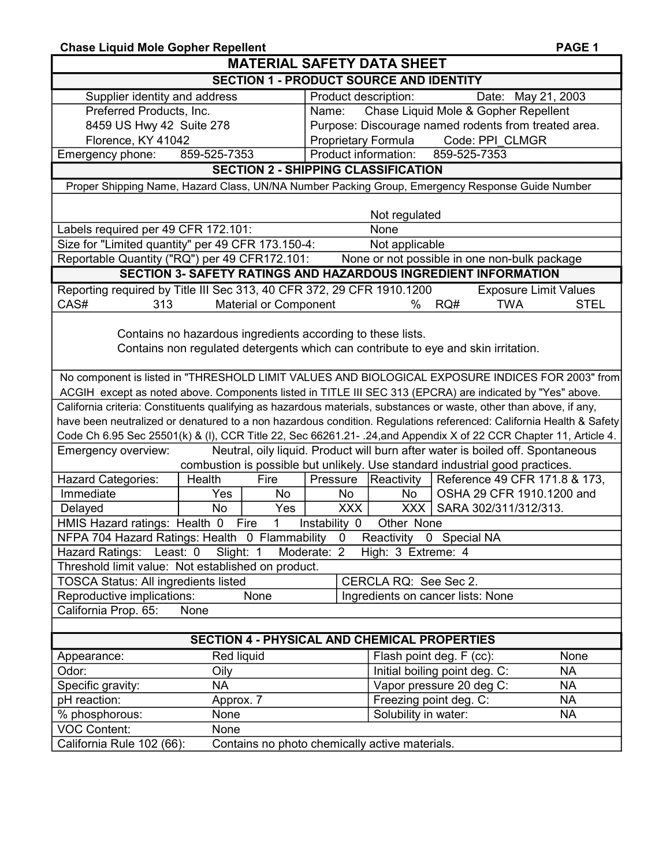| <b>Chase Liquid Mole Gopher Repellent</b>                                                                           |                                                     |                                                      |                                                                                |                              |  |  |  |  |
|---------------------------------------------------------------------------------------------------------------------|-----------------------------------------------------|------------------------------------------------------|--------------------------------------------------------------------------------|------------------------------|--|--|--|--|
| <b>MATERIAL SAFETY DATA SHEET</b><br><b>SECTION 1 - PRODUCT SOURCE AND IDENTITY</b>                                 |                                                     |                                                      |                                                                                |                              |  |  |  |  |
|                                                                                                                     |                                                     |                                                      |                                                                                |                              |  |  |  |  |
| Preferred Products, Inc.                                                                                            | Name:                                               | Chase Liquid Mole & Gopher Repellent                 |                                                                                |                              |  |  |  |  |
| 8459 US Hwy 42 Suite 278                                                                                            |                                                     | Purpose: Discourage named rodents from treated area. |                                                                                |                              |  |  |  |  |
| Florence, KY 41042                                                                                                  |                                                     | <b>Proprietary Formula</b>                           | Code: PPI CLMGR                                                                |                              |  |  |  |  |
| 859-525-7353<br>Emergency phone:                                                                                    |                                                     | Product information:                                 | 859-525-7353                                                                   |                              |  |  |  |  |
|                                                                                                                     | <b>SECTION 2 - SHIPPING CLASSIFICATION</b>          |                                                      |                                                                                |                              |  |  |  |  |
| Proper Shipping Name, Hazard Class, UN/NA Number Packing Group, Emergency Response Guide Number                     |                                                     |                                                      |                                                                                |                              |  |  |  |  |
|                                                                                                                     |                                                     |                                                      |                                                                                |                              |  |  |  |  |
|                                                                                                                     |                                                     | Not regulated                                        |                                                                                |                              |  |  |  |  |
| Labels required per 49 CFR 172.101:                                                                                 |                                                     | None                                                 |                                                                                |                              |  |  |  |  |
| Size for "Limited quantity" per 49 CFR 173.150-4:                                                                   |                                                     | Not applicable                                       |                                                                                |                              |  |  |  |  |
| Reportable Quantity ("RQ") per 49 CFR172.101:                                                                       |                                                     |                                                      | None or not possible in one non-bulk package                                   |                              |  |  |  |  |
| <b>SECTION 3- SAFETY RATINGS AND HAZARDOUS INGREDIENT INFORMATION</b>                                               |                                                     |                                                      |                                                                                |                              |  |  |  |  |
| Reporting required by Title III Sec 313, 40 CFR 372, 29 CFR 1910.1200                                               |                                                     |                                                      |                                                                                | <b>Exposure Limit Values</b> |  |  |  |  |
| CAS#<br>313                                                                                                         | <b>Material or Component</b>                        | $\%$                                                 | RQ#<br><b>TWA</b>                                                              | <b>STEL</b>                  |  |  |  |  |
|                                                                                                                     |                                                     |                                                      |                                                                                |                              |  |  |  |  |
| Contains no hazardous ingredients according to these lists.                                                         |                                                     |                                                      |                                                                                |                              |  |  |  |  |
| Contains non regulated detergents which can contribute to eye and skin irritation.                                  |                                                     |                                                      |                                                                                |                              |  |  |  |  |
|                                                                                                                     |                                                     |                                                      |                                                                                |                              |  |  |  |  |
| No component is listed in "THRESHOLD LIMIT VALUES AND BIOLOGICAL EXPOSURE INDICES FOR 2003" from                    |                                                     |                                                      |                                                                                |                              |  |  |  |  |
| ACGIH except as noted above. Components listed in TITLE III SEC 313 (EPCRA) are indicated by "Yes" above.           |                                                     |                                                      |                                                                                |                              |  |  |  |  |
| California criteria: Constituents qualifying as hazardous materials, substances or waste, other than above, if any, |                                                     |                                                      |                                                                                |                              |  |  |  |  |
| have been neutralized or denatured to a non hazardous condition. Regulations referenced: California Health & Safety |                                                     |                                                      |                                                                                |                              |  |  |  |  |
| Code Ch 6.95 Sec 25501(k) & (I), CCR Title 22, Sec 66261.21-.24, and Appendix X of 22 CCR Chapter 11, Article 4.    |                                                     |                                                      |                                                                                |                              |  |  |  |  |
| Emergency overview:                                                                                                 |                                                     |                                                      | Neutral, oily liquid. Product will burn after water is boiled off. Spontaneous |                              |  |  |  |  |
|                                                                                                                     |                                                     |                                                      | combustion is possible but unlikely. Use standard industrial good practices.   |                              |  |  |  |  |
| Hazard Categories:<br>Health                                                                                        | Fire<br>Pressure                                    | Reactivity                                           | Reference 49 CFR 171.8 & 173,                                                  |                              |  |  |  |  |
| Immediate<br><b>Yes</b>                                                                                             | No<br>No                                            | No                                                   | OSHA 29 CFR 1910.1200 and                                                      |                              |  |  |  |  |
| Delayed<br><b>No</b>                                                                                                | Yes                                                 | XXX                                                  | XXX   SARA 302/311/312/313.                                                    |                              |  |  |  |  |
| HMIS Hazard ratings: Health 0<br>Fire                                                                               | $\mathbf{1}$<br>Instability 0                       | Other None                                           |                                                                                |                              |  |  |  |  |
| NFPA 704 Hazard Ratings: Health 0 Flammability<br>Reactivity 0 Special NA<br>$\mathbf 0$                            |                                                     |                                                      |                                                                                |                              |  |  |  |  |
| Least: 0<br>Hazard Ratings:<br>Slight: 1                                                                            | Moderate: 2                                         | High: 3 Extreme: 4                                   |                                                                                |                              |  |  |  |  |
| Threshold limit value: Not established on product.                                                                  |                                                     |                                                      |                                                                                |                              |  |  |  |  |
| <b>TOSCA Status: All ingredients listed</b>                                                                         |                                                     | CERCLA RQ: See Sec 2.                                |                                                                                |                              |  |  |  |  |
| Reproductive implications:                                                                                          | None                                                | Ingredients on cancer lists: None                    |                                                                                |                              |  |  |  |  |
| California Prop. 65:<br>None                                                                                        |                                                     |                                                      |                                                                                |                              |  |  |  |  |
|                                                                                                                     |                                                     |                                                      |                                                                                |                              |  |  |  |  |
|                                                                                                                     | <b>SECTION 4 - PHYSICAL AND CHEMICAL PROPERTIES</b> |                                                      |                                                                                |                              |  |  |  |  |
| Red liquid<br>Appearance:                                                                                           |                                                     |                                                      | Flash point deg. F (cc):                                                       | None                         |  |  |  |  |
| Odor:<br>Oily                                                                                                       |                                                     |                                                      | Initial boiling point deg. C:                                                  | NA                           |  |  |  |  |
| Specific gravity:<br><b>NA</b>                                                                                      |                                                     |                                                      | Vapor pressure 20 deg C:                                                       | <b>NA</b>                    |  |  |  |  |
| pH reaction:<br>Approx. 7                                                                                           |                                                     |                                                      | Freezing point deg. C:                                                         | <b>NA</b>                    |  |  |  |  |
| None<br>% phosphorous:                                                                                              |                                                     | Solubility in water:                                 |                                                                                | NA                           |  |  |  |  |
| <b>VOC Content:</b><br>None                                                                                         |                                                     |                                                      |                                                                                |                              |  |  |  |  |
| California Rule 102 (66):                                                                                           | Contains no photo chemically active materials.      |                                                      |                                                                                |                              |  |  |  |  |